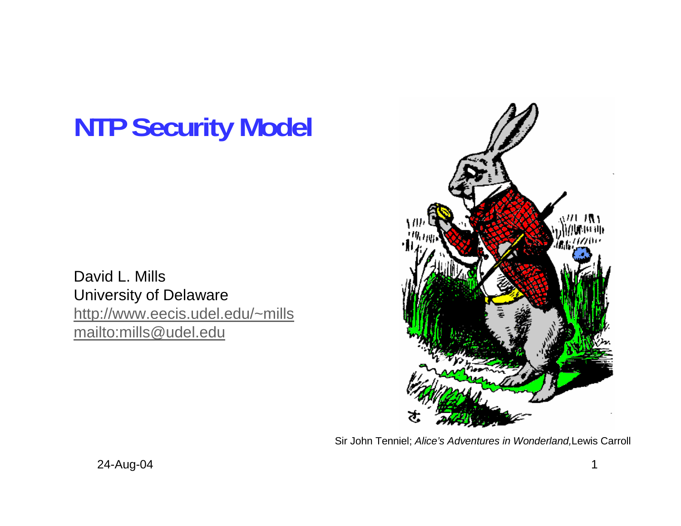# **NTP Security Model**

David L. Mills University of Delaware http://www.eecis.udel.edu/~mills mailto:mills@udel.edu



Sir John Tenniel; *Alice's Adventures in Wonderland,*Lewis Carroll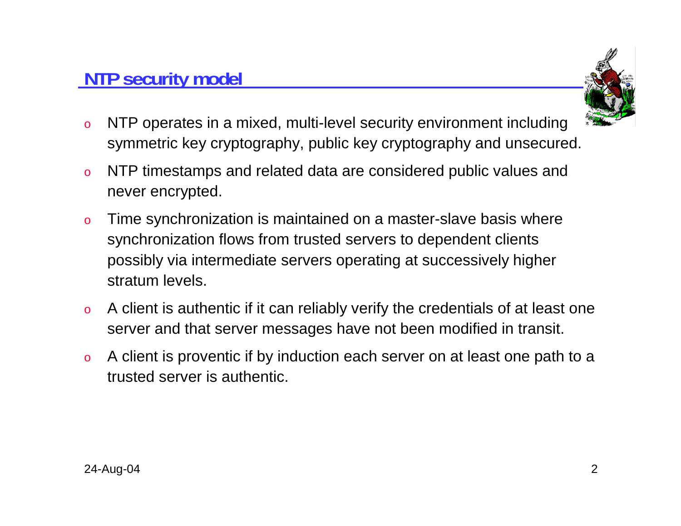### **NTP security model**



- o NTP operates in a mixed, multi-level security environment including symmetric key cryptography, public key cryptography and unsecured.
- o NTP timestamps and related data are considered public values and never encrypted.
- o Time synchronization is maintained on a master-slave basis where synchronization flows from trusted servers to dependent clients possibly via intermediate servers operating at successively higher stratum levels.
- o A client is authentic if it can reliably verify the credentials of at least one server and that server messages have not been modified in transit.
- o A client is proventic if by induction each server on at least one path to a trusted server is authentic.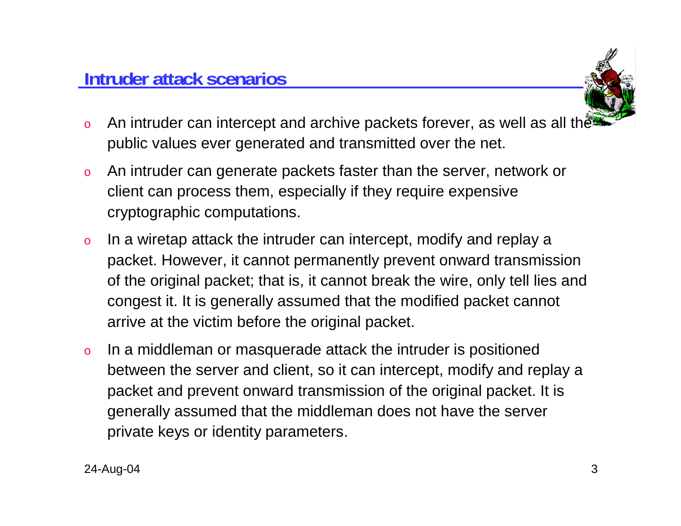

- oAn intruder can intercept and archive packets forever, as well as all the public values ever generated and transmitted over the net.
- o An intruder can generate packets faster than the server, network or client can process them, especially if they require expensive cryptographic computations.
- o In a wiretap attack the intruder can intercept, modify and replay a packet. However, it cannot permanently prevent onward transmission of the original packet; that is, it cannot break the wire, only tell lies and congest it. It is generally assumed that the modified packet cannot arrive at the victim before the original packet.
- o In a middleman or masquerade attack the intruder is positioned between the server and client, so it can intercept, modify and replay a packet and prevent onward transmission of the original packet. It is generally assumed that the middleman does not have the server private keys or identity parameters.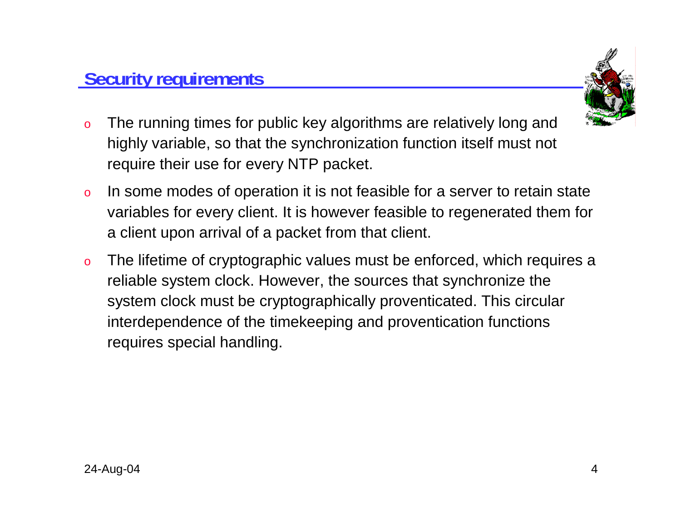

- o The running times for public key algorithms are relatively long and highly variable, so that the synchronization function itself must not require their use for every NTP packet.
- o In some modes of operation it is not feasible for a server to retain state variables for every client. It is however feasible to regenerated them for a client upon arrival of a packet from that client.
- o The lifetime of cryptographic values must be enforced, which requires a reliable system clock. However, the sources that synchronize the system clock must be cryptographically proventicated. This circular interdependence of the timekeeping and proventication functions requires special handling.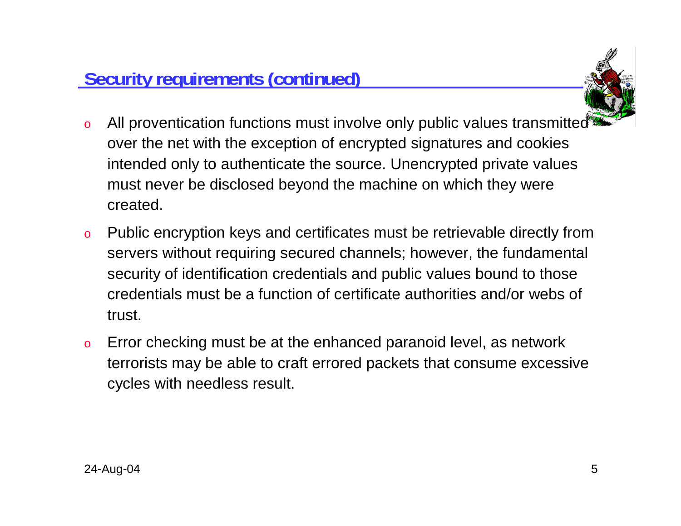

- o All proventication functions must involve only public values transmitted over the net with the exception of encrypted signatures and cookies intended only to authenticate the source. Unencrypted private values must never be disclosed beyond the machine on which they were created.
- o Public encryption keys and certificates must be retrievable directly from servers without requiring secured channels; however, the fundamental security of identification credentials and public values bound to those credentials must be a function of certificate authorities and/or webs of trust.
- o Error checking must be at the enhanced paranoid level, as network terrorists may be able to craft errored packets that consume excessive cycles with needless result.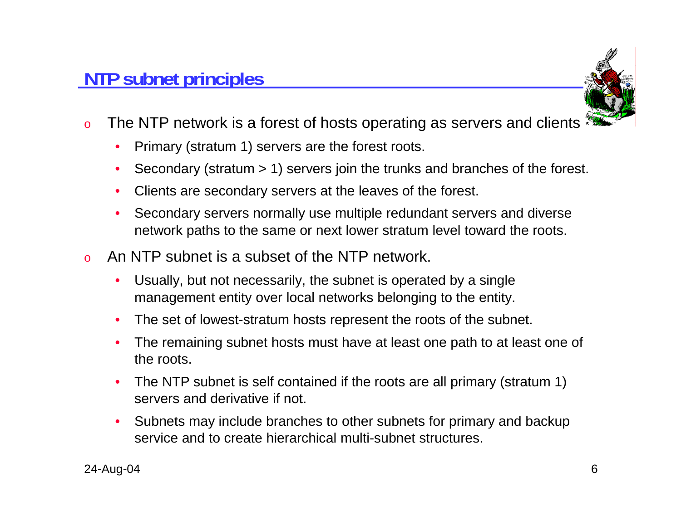

- oThe NTP network is a forest of hosts operating as servers and clients  $\frac{4}{3}$ 
	- $\bullet$ Primary (stratum 1) servers are the forest roots.
	- •Secondary (stratum > 1) servers join the trunks and branches of the forest.
	- •Clients are secondary servers at the leaves of the forest.
	- • Secondary servers normally use multiple redundant servers and diverse network paths to the same or next lower stratum level toward the roots.
- o An NTP subnet is a subset of the NTP network.
	- • Usually, but not necessarily, the subnet is operated by a single management entity over local networks belonging to the entity.
	- •The set of lowest-stratum hosts represent the roots of the subnet.
	- • The remaining subnet hosts must have at least one path to at least one of the roots.
	- • The NTP subnet is self contained if the roots are all primary (stratum 1) servers and derivative if not.
	- $\bullet$  Subnets may include branches to other subnets for primary and backup service and to create hierarchical multi-subnet structures.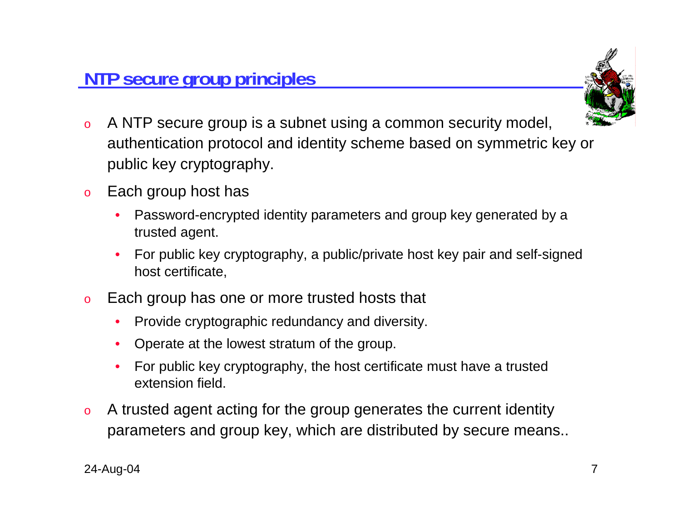

- o A NTP secure group is a subnet using a common security model, authentication protocol and identity scheme based on symmetric key or public key cryptography.
- o Each group host has
	- • Password-encrypted identity parameters and group key generated by a trusted agent.
	- • For public key cryptography, a public/private host key pair and self-signed host certificate,
- o Each group has one or more trusted hosts that
	- $\bullet$ Provide cryptographic redundancy and diversity.
	- Operate at the lowest stratum of the group.
	- • For public key cryptography, the host certificate must have a trusted extension field.
- o A trusted agent acting for the group generates the current identity parameters and group key, which are distributed by secure means..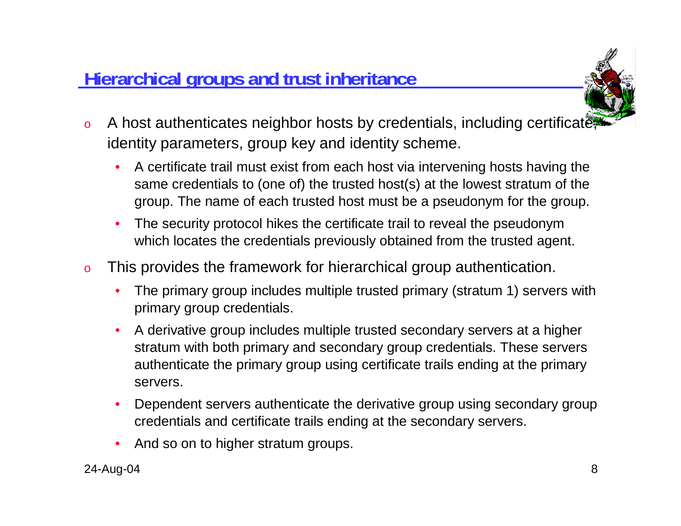### **Hierarchical groups and trust inheritance**



- oA host authenticates neighbor hosts by credentials, including certificate identity parameters, group key and identity scheme.
	- • A certificate trail must exist from each host via intervening hosts having the same credentials to (one of) the trusted host(s) at the lowest stratum of the group. The name of each trusted host must be a pseudonym for the group.
	- $\bullet$  The security protocol hikes the certificate trail to reveal the pseudonym which locates the credentials previously obtained from the trusted agent.
- o This provides the framework for hierarchical group authentication.
	- • The primary group includes multiple trusted primary (stratum 1) servers with primary group credentials.
	- • A derivative group includes multiple trusted secondary servers at a higher stratum with both primary and secondary group credentials. These servers authenticate the primary group using certificate trails ending at the primary servers.
	- • Dependent servers authenticate the derivative group using secondary group credentials and certificate trails ending at the secondary servers.
	- •And so on to higher stratum groups.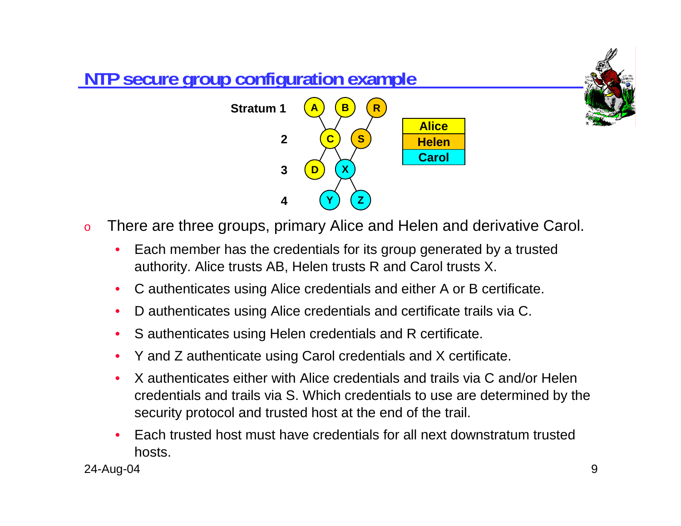

- o There are three groups, primary Alice and Helen and derivative Carol.
	- • Each member has the credentials for its group generated by a trusted authority. Alice trusts AB, Helen trusts R and Carol trusts X.
	- •C authenticates using Alice credentials and either A or B certificate.
	- •D authenticates using Alice credentials and certificate trails via C.
	- •S authenticates using Helen credentials and R certificate.
	- •Y and Z authenticate using Carol credentials and X certificate.
	- • X authenticates either with Alice credentials and trails via C and/or Helen credentials and trails via S. Which credentials to use are determined by the security protocol and trusted host at the end of the trail.
	- • Each trusted host must have credentials for all next downstratum trusted hosts.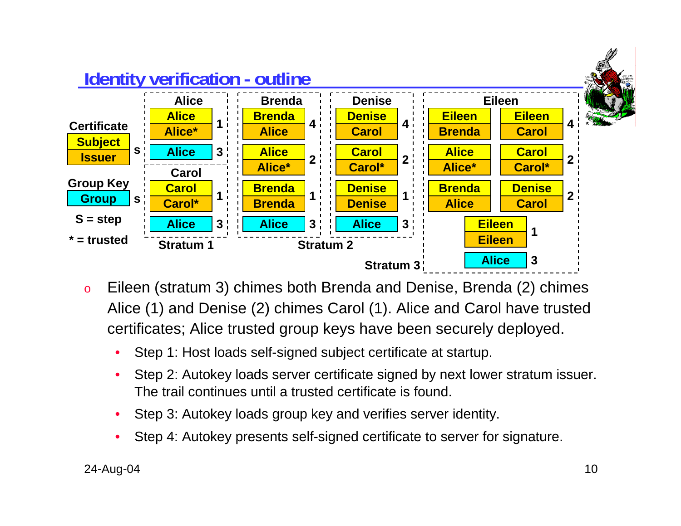

- o Eileen (stratum 3) chimes both Brenda and Denise, Brenda (2) chimes Alice (1) and Denise (2) chimes Carol (1). Alice and Carol have trusted certificates; Alice trusted group keys have been securely deployed.
	- •Step 1: Host loads self-signed subject certificate at startup.
	- • Step 2: Autokey loads server certificate signed by next lower stratum issuer. The trail continues until a trusted certificate is found.
	- •Step 3: Autokey loads group key and verifies server identity.
	- •Step 4: Autokey presents self-signed certificate to server for signature.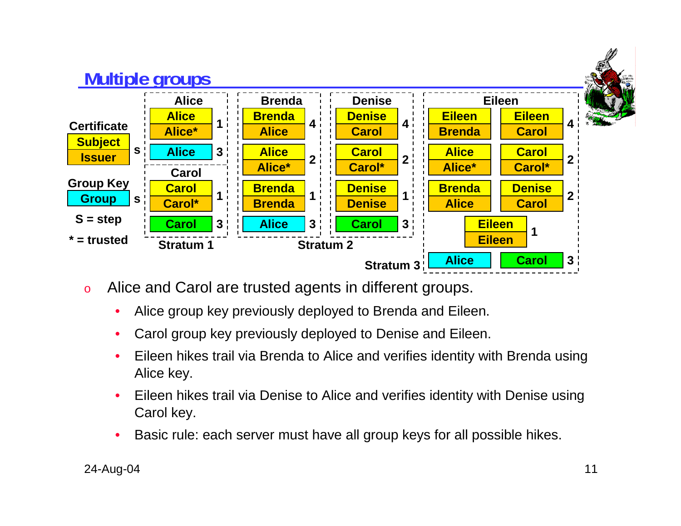

- o Alice and Carol are trusted agents in different groups.
	- •Alice group key previously deployed to Brenda and Eileen.
	- •Carol group key previously deployed to Denise and Eileen.
	- • Eileen hikes trail via Brenda to Alice and verifies identity with Brenda using Alice key.
	- • Eileen hikes trail via Denise to Alice and verifies identity with Denise using Carol key.
	- •Basic rule: each server must have all group keys for all possible hikes.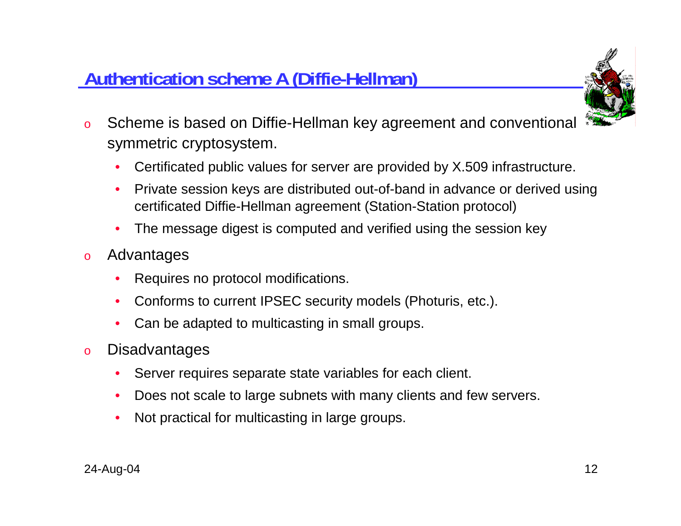### **Authentication scheme A (Diffie-Hellman)**



- o Scheme is based on Diffie-Hellman key agreement and conventional symmetric cryptosystem.
	- •Certificated public values for server are provided by X.509 infrastructure.
	- • Private session keys are distributed out-of-band in advance or derived using certificated Diffie-Hellman agreement (Station-Station protocol)
	- •The message digest is computed and verified using the session key
- o Advantages
	- •Requires no protocol modifications.
	- •Conforms to current IPSEC security models (Photuris, etc.).
	- $\bullet$ Can be adapted to multicasting in small groups.
- o Disadvantages
	- •Server requires separate state variables for each client.
	- •Does not scale to large subnets with many clients and few servers.
	- •Not practical for multicasting in large groups.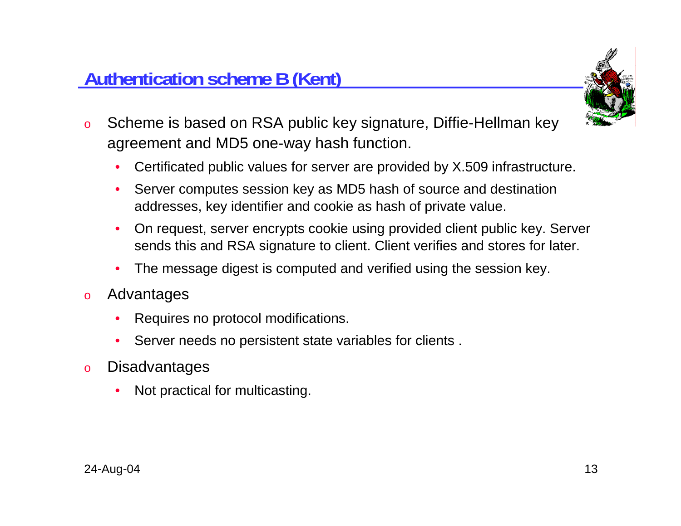### **Authentication scheme B (Kent)**



- o Scheme is based on RSA public key signature, Diffie-Hellman key agreement and MD5 one-way hash function.
	- •Certificated public values for server are provided by X.509 infrastructure.
	- • Server computes session key as MD5 hash of source and destination addresses, key identifier and cookie as hash of private value.
	- • On request, server encrypts cookie using provided client public key. Server sends this and RSA signature to client. Client verifies and stores for later.
	- •The message digest is computed and verified using the session key.
- o Advantages
	- •Requires no protocol modifications.
	- •Server needs no persistent state variables for clients .
- o**Disadvantages** 
	- •Not practical for multicasting.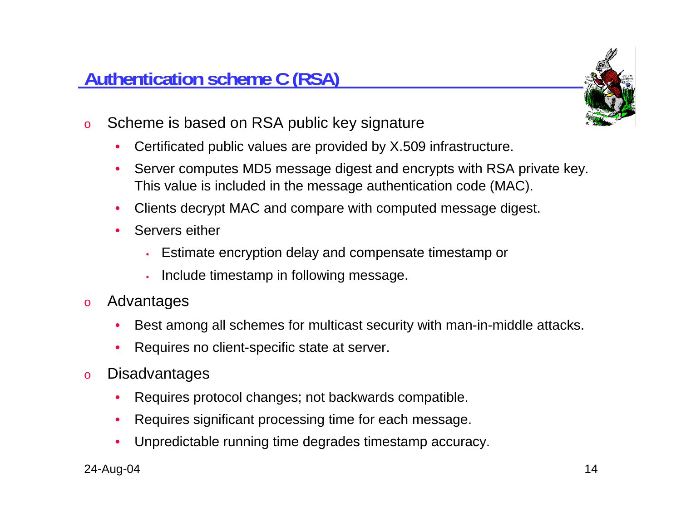### **Authentication scheme C (RSA)**



- o Scheme is based on RSA public key signature
	- •Certificated public values are provided by X.509 infrastructure.
	- • Server computes MD5 message digest and encrypts with RSA private key. This value is included in the message authentication code (MAC).
	- •Clients decrypt MAC and compare with computed message digest.
	- • Servers either
		- •Estimate encryption delay and compensate timestamp or
		- •Include timestamp in following message.
- o Advantages
	- •Best among all schemes for multicast security with man-in-middle attacks.
	- •Requires no client-specific state at server.
- o**Disadvantages** 
	- •Requires protocol changes; not backwards compatible.
	- $\bullet$ Requires significant processing time for each message.
	- •Unpredictable running time degrades timestamp accuracy.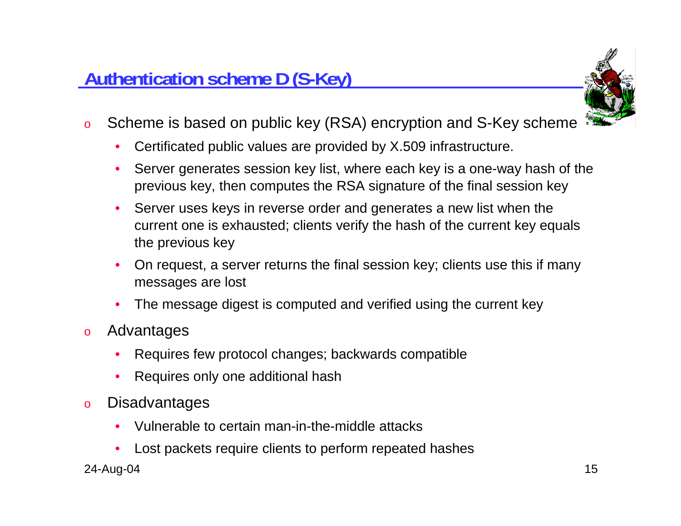

- o Scheme is based on public key (RSA) encryption and S-Key scheme
	- $\bullet$ Certificated public values are provided by X.509 infrastructure.
	- • Server generates session key list, where each key is a one-way hash of the previous key, then computes the RSA signature of the final session key
	- • Server uses keys in reverse order and generates a new list when the current one is exhausted; clients verify the hash of the current key equals the previous key
	- • On request, a server returns the final session key; clients use this if many messages are lost
	- •The message digest is computed and verified using the current key
- o Advantages
	- •Requires few protocol changes; backwards compatible
	- •Requires only one additional hash
- o**Disadvantages** 
	- •Vulnerable to certain man-in-the-middle attacks
	- •Lost packets require clients to perform repeated hashes

#### 24-Aug-04 15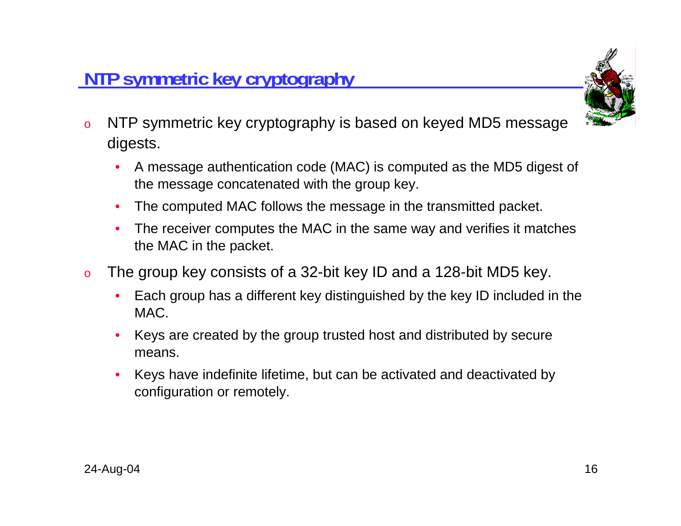

- o NTP symmetric key cryptography is based on keyed MD5 message digests.
	- • A message authentication code (MAC) is computed as the MD5 digest of the message concatenated with the group key.
	- •The computed MAC follows the message in the transmitted packet.
	- • The receiver computes the MAC in the same way and verifies it matches the MAC in the packet.
- o The group key consists of a 32-bit key ID and a 128-bit MD5 key.
	- • Each group has a different key distinguished by the key ID included in the MAC.
	- • Keys are created by the group trusted host and distributed by secure means.
	- • Keys have indefinite lifetime, but can be activated and deactivated by configuration or remotely.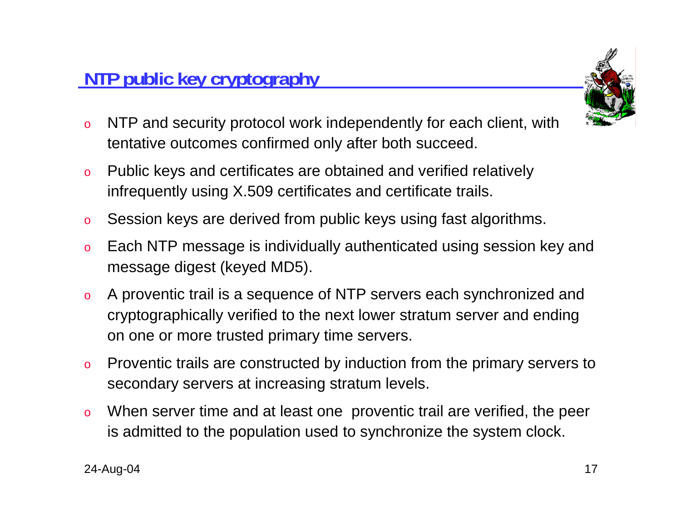### **NTP public key cryptography**



- o NTP and security protocol work independently for each client, with tentative outcomes confirmed only after both succeed.
- o Public keys and certificates are obtained and verified relatively infrequently using X.509 certificates and certificate trails.
- oSession keys are derived from public keys using fast algorithms.
- o Each NTP message is individually authenticated using session key and message digest (keyed MD5).
- o A proventic trail is a sequence of NTP servers each synchronized and cryptographically verified to the next lower stratum server and ending on one or more trusted primary time servers.
- o Proventic trails are constructed by induction from the primary servers to secondary servers at increasing stratum levels.
- o When server time and at least one proventic trail are verified, the peer is admitted to the population used to synchronize the system clock.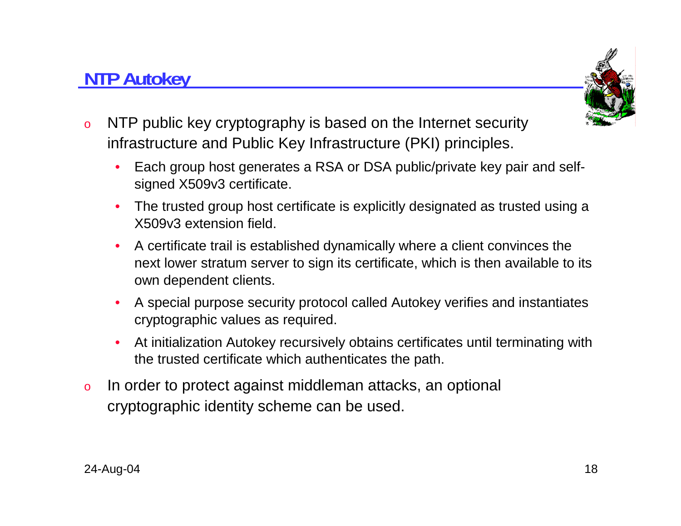#### 24-Aug-04 18

•

**NTP Autokey**

o

#### o In order to protect against middleman attacks, an optional cryptographic identity scheme can be used.

the trusted certificate which authenticates the path.

- A special purpose security protocol called Autokey verifies and instantiates cryptographic values as required.  $\bullet$ At initialization Autokey recursively obtains certificates until terminating with
- • A certificate trail is established dynamically where a client convinces the next lower stratum server to sign its certificate, which is then available to its own dependent clients.
- • The trusted group host certificate is explicitly designated as trusted using a X509v3 extension field.
- • Each group host generates a RSA or DSA public/private key pair and selfsigned X509v3 certificate.

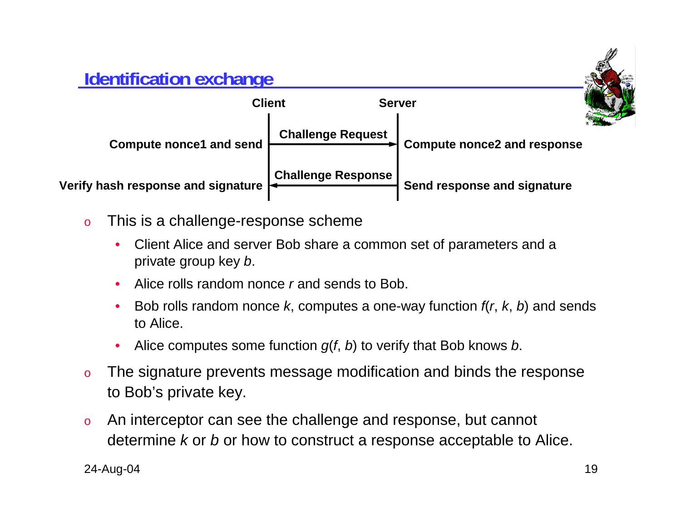### **Identification exchange**



- o This is a challenge-response scheme
	- • Client Alice and server Bob share a common set of parameters and <sup>a</sup> private group key *b*.
	- •Alice rolls random nonce *r* and sends to Bob.
	- • Bob rolls random nonce *k*, computes a one-way function *f*(*<sup>r</sup>*, *k*, *b*) and sends to Alice.
	- •Alice computes some function *g*(*f*, *b*) to verify that Bob knows *b*.
- o The signature prevents message modification and binds the response to Bob's private key.
- o An interceptor can see the challenge and response, but cannot determine *k* or *b* or how to construct a response acceptable to Alice.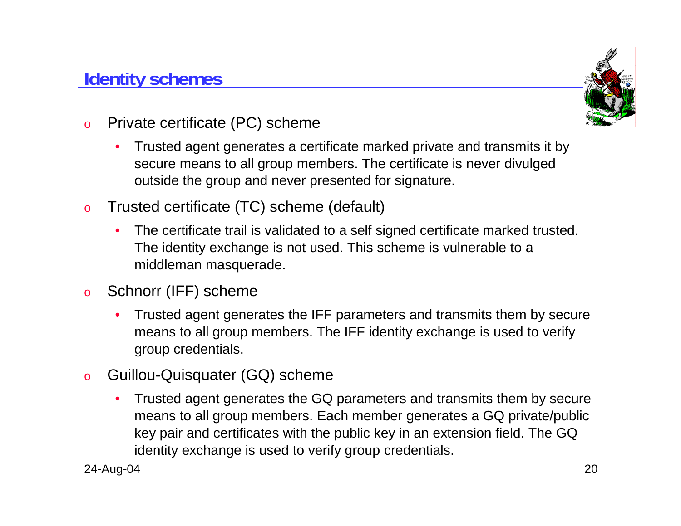### **Identity schemes**



- o Private certificate (PC) scheme
	- • Trusted agent generates a certificate marked private and transmits it by secure means to all group members. The certificate is never divulged outside the group and never presented for signature.
- o Trusted certificate (TC) scheme (default)
	- $\bullet$  The certificate trail is validated to a self signed certificate marked trusted. The identity exchange is not used. This scheme is vulnerable to a middleman masquerade.
- o Schnorr (IFF) scheme
	- $\bullet$  Trusted agent generates the IFF parameters and transmits them by secure means to all group members. The IFF identity exchange is used to verify group credentials.
- o Guillou-Quisquater (GQ) scheme
	- $\bullet$  Trusted agent generates the GQ parameters and transmits them by secure means to all group members. Each member generates a GQ private/public key pair and certificates with the public key in an extension field. The GQ identity exchange is used to verify group credentials.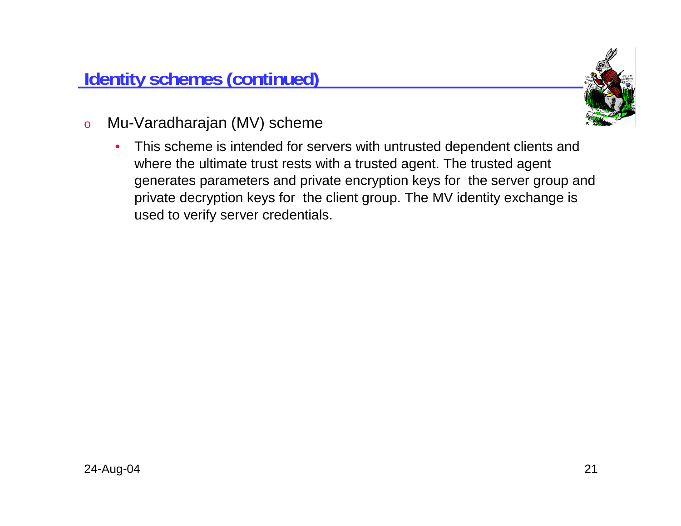

- o Mu-Varadharajan (MV) scheme
	- • This scheme is intended for servers with untrusted dependent clients and where the ultimate trust rests with a trusted agent. The trusted agent generates parameters and private encryption keys for the server group and private decryption keys for the client group. The MV identity exchange is used to verify server credentials.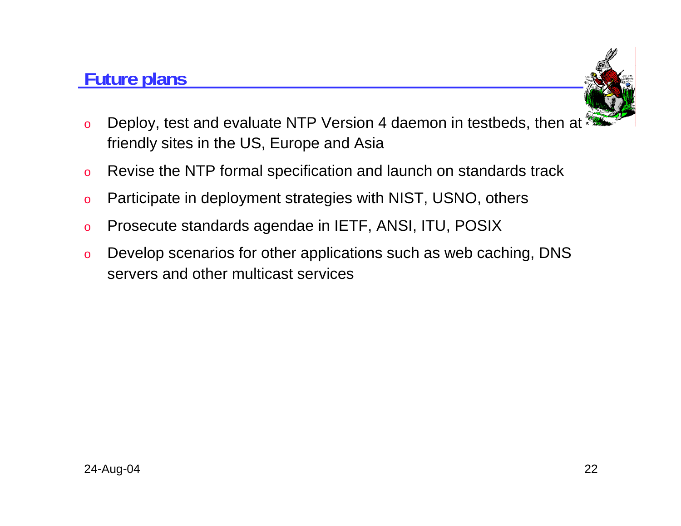### **Future plans**



- o Deploy, test and evaluate NTP Version 4 daemon in testbeds, then at friendly sites in the US, Europe and Asia
- oRevise the NTP formal specification and launch on standards track
- oParticipate in deployment strategies with NIST, USNO, others
- oProsecute standards agendae in IETF, ANSI, ITU, POSIX
- o Develop scenarios for other applications such as web caching, DNS servers and other multicast services